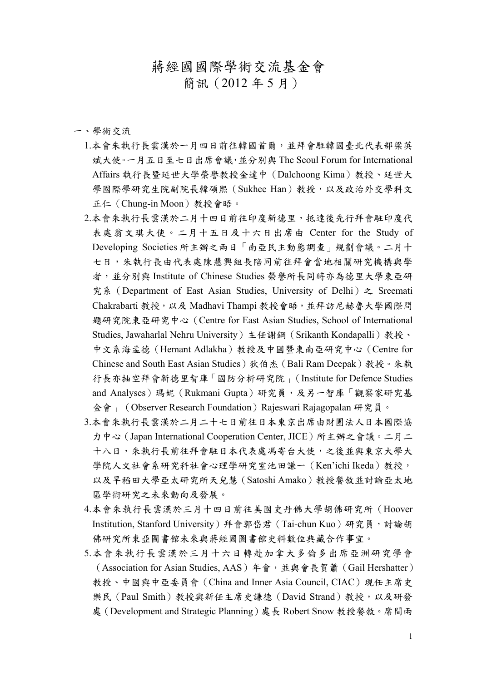## 蔣經國國際學術交流基金會

簡訊(2012 年 5 月)

一、學術交流

- 1.本會朱執行長雲漢於一月四日前往韓國首爾,並拜會駐韓國臺北代表部梁英 斌大使。一月五日至七日出席會議,並分別與 The Seoul Forum for International Affairs 執行長暨延世大學榮譽教授金達中(Dalchoong Kima)教授、延世大 學國際學研究生院副院長韓碩熙(Sukhee Han)教授,以及政治外交學科文 正仁(Chung-in Moon)教授會晤。
- 2.本會朱執行長雲漢於二月十四日前往印度新德里,抵達後先行拜會駐印度代 表處翁文琪大使。二月十五日及十六日出席由 Center for the Study of Developing Societies 所主辦之兩日「南亞民主動態調查」規劃會議。二月十 七日,朱執行長由代表處陳慧興組長陪同前往拜會當地相關研究機構與學 者,並分別與 Institute of Chinese Studies 榮譽所長同時亦為德里大學東亞研 究系 (Department of East Asian Studies, University of Delhi) 之 Sreemati Chakrabarti 教授,以及 Madhavi Thampi 教授會晤,並拜訪尼赫魯大學國際問 題研究院東亞研究中心(Centre for East Asian Studies, School of International Studies, Jawaharlal Nehru University)主任謝鋼(Srikanth Kondapalli)教授、 中文系海孟德(Hemant Adlakha)教授及中國暨東南亞研究中心(Centre for Chinese and South East Asian Studies)狄伯杰 (Bali Ram Deepak)教授。朱執 行長亦抽空拜會新德里智庫「國防分析研究院」(Institute for Defence Studies and Analyses) 瑪妮 (Rukmani Gupta) 研究員,及另一智庫「觀察家研究基 金會」(Observer Research Foundation)Rajeswari Rajagopalan 研究員。
- 3.本會朱執行長雲漢於二月二十七日前往日本東京出席由財團法人日本國際協 力中心(Japan International Cooperation Center, JICE)所主辦之會議。二月二 十八日,朱執行長前往拜會駐日本代表處馮寄台大使,之後並與東京大學大 學院人文社會系研究科社會心理學研究室池田謙一 (Ken'ichi Ikeda) 教授, 以及早稻田大學亞太研究所天兒慧(Satoshi Amako)教授餐敘並討論亞太地 區學術研究之未來動向及發展。
- 4.本會朱執行長雲漢於三月十四日前往美國史丹佛大學胡佛研究所(Hoover Institution, Stanford University)拜會郭岱君 (Tai-chun Kuo)研究員, 討論胡 佛研究所東亞圖書館未來與蔣經國圖書館史料數位典藏合作事宜。
- 5.本會朱執行長雲漢於三月十六日轉赴加拿大多倫多出席亞洲研究學會 (Association for Asian Studies, AAS)年會,並與會長賀蕭(Gail Hershatter) 教授、中國與中亞委員會(China and Inner Asia Council, CIAC)現任主席史 樂民(Paul Smith)教授與新任主席史謙德(David Strand)教授,以及研發 處(Development and Strategic Planning)處長 Robert Snow 教授餐敘。席間兩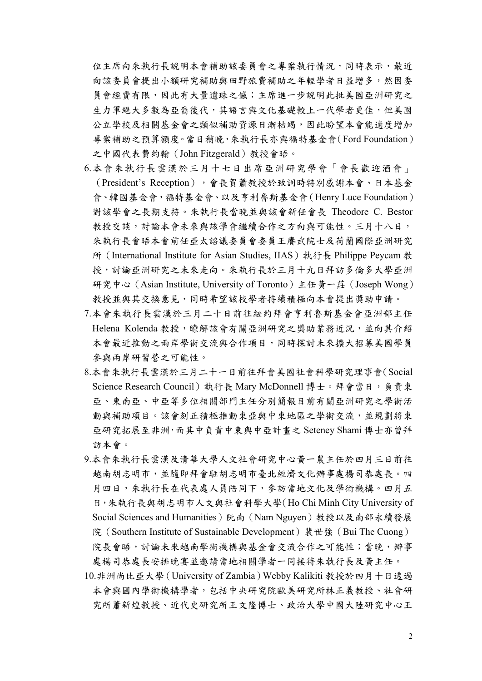位主席向朱執行長說明本會補助該委員會之專案執行情況,同時表示,最近 向該委員會提出小額研究補助與田野旅費補助之年輕學者日益增多,然因委 員會經費有限,因此有大量遺珠之憾;主席進一步說明此批美國亞洲研究之 生力軍絕大多數為亞裔後代,其語言與文化基礎較上一代學者更佳,但美國 公立學校及相關基金會之類似補助資源日漸枯竭,因此盼望本會能適度增加 專案補助之預算額度。當日稍晚,朱執行長亦與福特基金會(Ford Foundation) 之中國代表費約翰(John Fitzgerald)教授會晤。

- 6.本會朱執行長雲漢於三月十七日出席亞洲研究學會「會長歡迎酒會」 (President's Reception),會長賀蕭教授於致詞時特別感謝本會、日本基金 會、韓國基金會,福特基金會、以及亨利魯斯基金會(Henry Luce Foundation) 對該學會之長期支持。朱執行長當晚並與該會新任會長 Theodore C. Bestor 教授交談,討論本會未來與該學會繼續合作之方向與可能性。三月十八日, 朱執行長會晤本會前任亞太諮議委員會委員王賡武院士及荷蘭國際亞洲研究 所(International Institute for Asian Studies, IIAS)執行長 Philippe Peycam 教 授,討論亞洲研究之未來走向。朱執行長於三月十九日拜訪多倫多大學亞洲 研究中心(Asian Institute, University of Toronto)主任黃一莊(Joseph Wong) 教授並與其交換意見,同時希望該校學者持續積極向本會提出獎助申請。
- 7.本會朱執行長雲漢於三月二十日前往紐約拜會亨利魯斯基金會亞洲部主任 Helena Kolenda 教授,瞭解該會有關亞洲研究之獎助業務近況,並向其介紹 本會最近推動之兩岸學術交流與合作項目,同時探討未來擴大招募美國學員 參與兩岸研習營之可能性。
- 8.本會朱執行長雲漢於三月二十一日前往拜會美國社會科學研究理事會(Social Science Research Council)執行長 Mary McDonnell 博士。拜會當日,負責東 亞、東南亞、中亞等多位相關部門主任分別簡報目前有關亞洲研究之學術活 動與補助項目。該會刻正積極推動東亞與中東地區之學術交流,並規劃將東 亞研究拓展至非洲,而其中負責中東與中亞計畫之 Seteney Shami 博士亦曾拜 訪本會。
- 9.本會朱執行長雲漢及清華大學人文社會研究中心黃一農主任於四月三日前往 越南胡志明市,並隨即拜會駐胡志明市臺北經濟文化辦事處楊司恭處長。四 月四日,朱執行長在代表處人員陪同下,參訪當地文化及學術機構。四月五 日,朱執行長與胡志明市人文與社會科學大學(Ho Chi Minh City University of Social Sciences and Humanities)阮南(Nam Nguyen)教授以及南部永續發展 院 (Southern Institute of Sustainable Development) 裴世強 (Bui The Cuong) 院長會晤,討論未來越南學術機構與基金會交流合作之可能性;當晚,辦事 處楊司恭處長安排晚宴並邀請當地相關學者一同接待朱執行長及黃主任。
- 10.非洲尚比亞大學(University of Zambia)Webby Kalikiti 教授於四月十日透過 本會與國內學術機構學者,包括中央研究院歐美研究所林正義教授、社會研 究所蕭新煌教授、近代史研究所王文隆博士、政治大學中國大陸研究中心王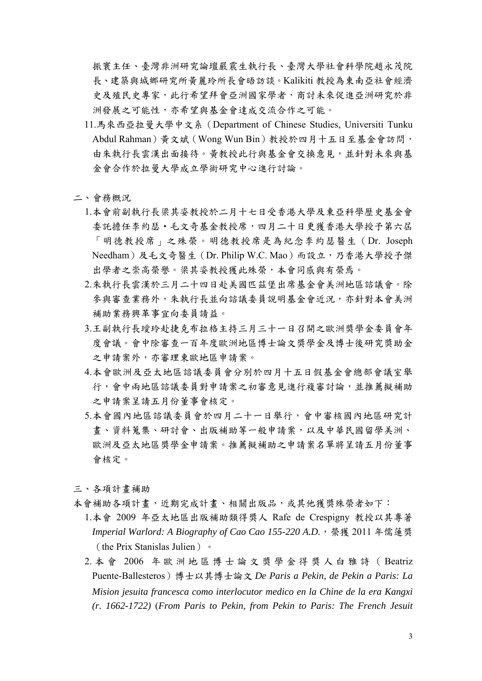振寰主任、臺灣非洲研究論壇嚴震生執行長、臺灣大學社會科學院趙永茂院 長、建築與城鄉研究所黃麗玲所長會晤訪談。Kalikiti 教授為東南亞社會經濟 史及殖民史專家,此行希望拜會亞洲國家學者,商討未來促進亞洲研究於非 洲發展之可能性,亦希望與基金會達成交流合作之可能。

- 11.馬來西亞拉曼大學中文系(Department of Chinese Studies, Universiti Tunku Abdul Rahman)黃文斌(Wong Wun Bin)教授於四月十五日至基金會訪問, 由朱執行長雲漢出面接待。黃教授此行與基金會交換意見,並針對未來與基 金會合作於拉曼大學成立學術研究中心進行討論。
- 二、會務概況
	- 1.本會前副執行長梁其姿教授於二月十七日受香港大學及東亞科學歷史基金會 **委託擔任李約瑟**·毛文奇基金教授席,四月二十日更獲香港大學授予第六屆 「明德教授席」之殊榮。明德教授席是為紀念李約瑟醫生(Dr. Joseph Needham)及毛文奇醫生(Dr. Philip W.C. Mao)而設立,乃香港大學授予傑 出學者之崇高榮譽。梁其姿教授獲此殊榮,本會同感與有榮焉。
	- 2.朱執行長雲漢於三月二十四日赴美國匹茲堡出席基金會美洲地區諮議會。除 參與審查業務外,朱執行長並向諮議委員說明基金會近況,亦針對本會美洲 補助業務興革事宜向委員請益。
	- 3.王副執行長瑷玲赴捷克布拉格主持三月三十一日召開之歐洲獎學金委員會年 度會議。會中除審查一百年度歐洲地區博士論文獎學金及博士後研究獎助金 之申請案外,亦審理東歐地區申請案。
	- 4.本會歐洲及亞太地區諮議委員會分別於四月十五日假基金會總部會議室舉 行,會中兩地區諮議委員對申請案之初審意見進行複審討論,並推薦擬補助 之申請案呈請五月份董事會核定。
	- 5.本會國內地區諮議委員會於四月二十一日舉行,會中審核國內地區研究計 書、資料蒐集、研討會、出版補助等一般申請案,以及中華民國留學美洲、 歐洲及亞太地區獎學金申請案。推薦擬補助之申請案名單將呈請五月份董事 會核定。

三、各項計畫補助

- 本會補助各項計畫,近期完成計畫、相關出版品,或其他獲獎殊榮者如下:
	- 1.本會 2009 年亞太地區出版補助類得獎人 Rafe de Crespigny 教授以其專著 *Imperial Warlord: A Biography of Cao Cao 155-220 A.D.*,榮獲 2011 年儒蓮獎 (the Prix Stanislas Julien)。
	- 2. 本 會 2006 年歐洲地區博士論文獎學金得獎人白雅詩( Beatriz Puente-Ballesteros)博士以其博士論文 *De Paris a Pekin, de Pekin a Paris: La Mision jesuita francesca como interlocutor medico en la Chine de la era Kangxi (r. 1662-1722)* (*From Paris to Pekin, from Pekin to Paris: The French Jesuit*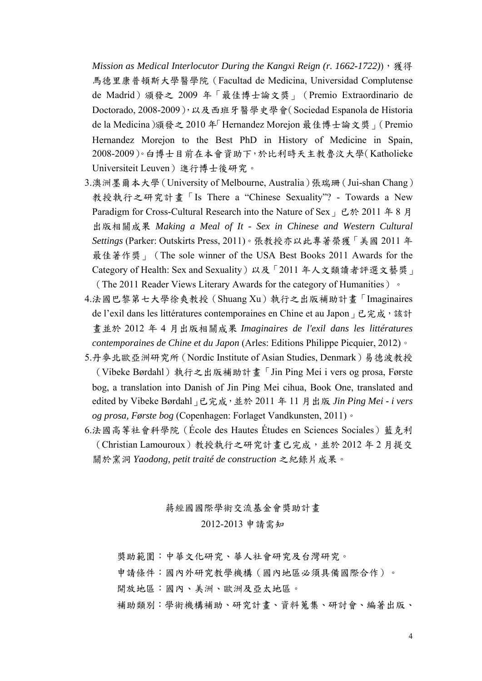*Mission as Medical Interlocutor During the Kangxi Reign (r. 1662-1722)*), 獲得 馬德里康普頓斯大學醫學院(Facultad de Medicina, Universidad Complutense de Madrid)頒發之 2009 年「最佳博士論文獎」(Premio Extraordinario de Doctorado, 2008-2009),以及西班牙醫學史學會(Sociedad Espanola de Historia de la Medicina)頒發之 2010 年「Hernandez Morejon 最佳博士論文獎」(Premio Hernandez Morejon to the Best PhD in History of Medicine in Spain, 2008-2009)。白博士目前在本會資助下,於比利時天主教魯汶大學(Katholieke Universiteit Leuven)進行博士後研究。

- 3.澳洲墨爾本大學(University of Melbourne, Australia)張瑞珊(Jui-shan Chang) 教授執行之研究計畫「Is There a "Chinese Sexuality"? - Towards a New Paradigm for Cross-Cultural Research into the Nature of Sex」已於 2011 年 8 月 出版相關成果 *Making a Meal of It - Sex in Chinese and Western Cultural Settings* (Parker: Outskirts Press, 2011)。張教授亦以此專著榮獲「美國 2011 年 最佳著作獎 | (The sole winner of the USA Best Books 2011 Awards for the Category of Health: Sex and Sexuality)以及「2011 年人文類讀者評選文藝獎」 (The 2011 Reader Views Literary Awards for the category of Humanities)。
- 4.法國巴黎第七大學徐爽教授(Shuang Xu)執行之出版補助計畫「Imaginaires de l'exil dans les littératures contemporaines en Chine et au Japon, 已完成, 該計 畫並於 2012 年 4 月出版相關成果 *Imaginaires de l'exil dans les littératures contemporaines de Chine et du Japon* (Arles: Editions Philippe Picquier, 2012)。
- 5.丹麥北歐亞洲研究所(Nordic Institute of Asian Studies, Denmark)易德波教授 (Vibeke Børdahl)執行之出版補助計畫「Jin Ping Mei i vers og prosa, Første bog, a translation into Danish of Jin Ping Mei cihua, Book One, translated and edited by Vibeke Børdahl」已完成,並於 2011 年 11 月出版 *Jin Ping Mei - i vers og prosa, Første bog* (Copenhagen: Forlaget Vandkunsten, 2011)。
- 6.法國高等社會科學院 (École des Hautes Études en Sciences Sociales) 藍克利 (Christian Lamouroux)教授執行之研究計畫已完成,並於 2012 年 2 月提交 關於窯洞 *Yaodong, petit traité de construction* 之紀錄片成果。

## 蔣經國國際學術交流基金會獎助計畫 2012-2013 申請需知

獎助範圍:中華文化研究、華人社會研究及台灣研究。

申請條件:國內外研究教學機構(國內地區必須具備國際合作)。

開放地區:國內、美洲、歐洲及亞太地區。

補助類別:學術機構補助、研究計畫、資料蒐集、研討會、編著出版、